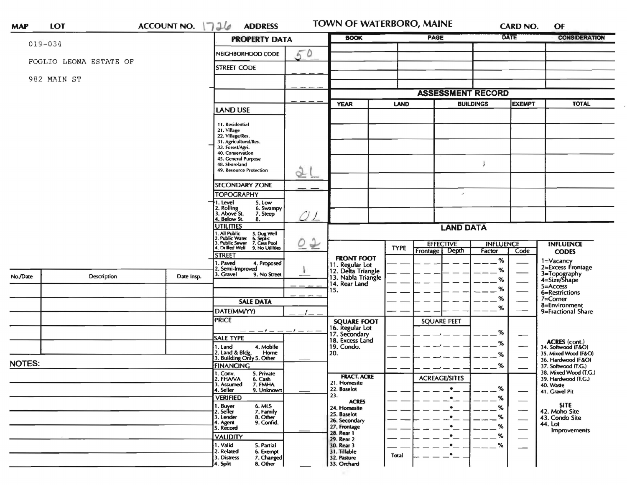| <b>MAP</b>    | LOT                    | <b>ACCOUNT NO.</b> | 1726<br><b>ADDRESS</b>                                                                                            |                      |                                                        | TOWN OF WATERBORO, MAINE         | <b>CARD NO.</b>                       | OF                                           |  |  |
|---------------|------------------------|--------------------|-------------------------------------------------------------------------------------------------------------------|----------------------|--------------------------------------------------------|----------------------------------|---------------------------------------|----------------------------------------------|--|--|
| $019 - 034$   |                        |                    | <b>PROPERTY DATA</b>                                                                                              |                      | <b>BOOK</b>                                            | <b>PAGE</b>                      | <b>DATE</b>                           | <b>CONSIDERATION</b>                         |  |  |
|               |                        |                    | NEIGHBORHOOD CODE                                                                                                 | 50                   |                                                        |                                  |                                       |                                              |  |  |
|               | FOGLIO LEONA ESTATE OF |                    | <b>STREET CODE</b>                                                                                                |                      |                                                        |                                  |                                       |                                              |  |  |
|               | 982 MAIN ST            |                    |                                                                                                                   |                      |                                                        |                                  |                                       |                                              |  |  |
|               |                        |                    |                                                                                                                   |                      |                                                        | <b>ASSESSMENT RECORD</b>         |                                       |                                              |  |  |
|               |                        |                    | <b>LAND USE</b>                                                                                                   |                      | <b>YEAR</b>                                            | <b>LAND</b>                      | <b>BUILDINGS</b><br><b>EXEMPT</b>     | <b>TOTAL</b>                                 |  |  |
|               |                        |                    |                                                                                                                   |                      |                                                        |                                  |                                       |                                              |  |  |
|               |                        |                    | 11. Residential<br>21. Village                                                                                    |                      |                                                        |                                  |                                       |                                              |  |  |
|               |                        |                    | 22. Village/Res.<br>31. Agricultural/Res.                                                                         |                      |                                                        |                                  |                                       |                                              |  |  |
|               |                        |                    | 33. Forest/Agri.<br>40. Conservation                                                                              |                      |                                                        |                                  |                                       |                                              |  |  |
|               |                        |                    | 45. General Purpose                                                                                               |                      |                                                        |                                  |                                       |                                              |  |  |
|               |                        |                    | 48. Shoreland<br>49. Resource Protection                                                                          | 2                    |                                                        |                                  |                                       |                                              |  |  |
|               |                        |                    | <b>SECONDARY ZONE</b>                                                                                             |                      |                                                        |                                  |                                       |                                              |  |  |
|               |                        |                    | <b>TOPOGRAPHY</b>                                                                                                 |                      |                                                        | $\!\mathscr{I}\!$                |                                       |                                              |  |  |
|               |                        |                    | 1. Level<br>5. Low<br>6. Swampy                                                                                   |                      |                                                        |                                  |                                       |                                              |  |  |
|               |                        |                    | 2. Rolling<br>3. Above St.<br>7. Steep<br>4. Below St.<br>8.                                                      | $\perp$<br>Q         |                                                        |                                  |                                       |                                              |  |  |
|               |                        |                    | <b>UTILITIES</b>                                                                                                  |                      |                                                        | <b>LAND DATA</b>                 |                                       |                                              |  |  |
|               |                        |                    | . All Public<br>5. Dug Well<br>6. Septic<br>7. Cess Pool<br>2. Public Water<br>3. Public Sewer<br>4. Drilled Well |                      |                                                        | <b>EFFECTIVE</b>                 | <b>INFLUENCE</b>                      | <b>INFLUENCE</b>                             |  |  |
|               |                        |                    | 9. No Utilities                                                                                                   | $\hat{L}$<br>$\circ$ |                                                        | <b>TYPE</b><br>Frontage<br>Depth | Factor<br>Code                        | <b>CODES</b>                                 |  |  |
|               |                        |                    | <b>STREET</b><br>1. Paved<br>4. Proposed                                                                          |                      | <b>FRONT FOOT</b>                                      |                                  | %                                     | 1=Vacancy<br>2=Excess Frontage               |  |  |
|               |                        |                    | 2. Semi-Improved<br>3. Gravel<br>9. No Street                                                                     |                      | 11. Regular Lot<br>12. Delta Triangle                  |                                  | %                                     |                                              |  |  |
| No./Date      | <b>Description</b>     | Date Insp.         |                                                                                                                   |                      | 13. Nabla Triangle<br>14. Rear Land                    |                                  | ℅                                     | 3=Topography<br>4=Size/Shape<br>5=Access     |  |  |
|               |                        |                    |                                                                                                                   |                      | 15.                                                    |                                  | %                                     | 6=Restrictions                               |  |  |
|               |                        |                    | <b>SALE DATA</b>                                                                                                  |                      |                                                        |                                  | %<br>%                                | $7 =$ Corner<br>8=Environment                |  |  |
|               |                        |                    | DATE(MM/YY)                                                                                                       |                      |                                                        |                                  |                                       | 9=Fractional Share                           |  |  |
|               |                        |                    | <b>PRICE</b>                                                                                                      | $-1 - -$             | <b>SQUARE FOOT</b><br>16. Regular Lot<br>17. Secondary | <b>SQUARE FEET</b>               |                                       |                                              |  |  |
|               |                        |                    | <b>SALE TYPE</b>                                                                                                  |                      | 18. Excess Land                                        |                                  | %                                     |                                              |  |  |
|               |                        |                    | 4. Mobile<br>1. Land                                                                                              |                      | 19. Condo.                                             |                                  | %<br>—                                | ACRES (cont.)<br>34. Softwood (F&O)          |  |  |
|               |                        |                    | 2. Land & Bldg. Home<br>3. Building Only 5. Other<br>Home                                                         |                      | 20.                                                    |                                  | ℅                                     | 35. Mixed Wood (F&O)<br>36. Hardwood (F&O)   |  |  |
| <b>NOTES:</b> |                        |                    | <b>FINANCING</b>                                                                                                  |                      |                                                        |                                  | %                                     | 37. Softwood (T.G.)                          |  |  |
|               |                        |                    | 1. Conv.<br>5. Private<br>2. FHAVA<br>6. Cash                                                                     |                      | <b>FRACT. ACRE</b><br>21. Homesite                     | <b>ACREAGE/SITES</b>             |                                       | 38. Mixed Wood (T.G.)<br>39. Hardwood (T.G.) |  |  |
|               |                        |                    | 3. Assumed<br>7. FMHA<br>4. Seller<br>9. Unknown                                                                  |                      | 22. Baselot                                            |                                  | %<br>$\overbrace{\hspace{15em}}$      | 40. Waste<br>41. Gravel Pit                  |  |  |
|               |                        |                    | <b>VERIFIED</b>                                                                                                   |                      | 23.<br><b>ACRES</b>                                    |                                  | %                                     |                                              |  |  |
|               |                        |                    | 1. Buyer<br>2. Seller<br>6. MLS<br>7. Family                                                                      |                      | 24. Homesite                                           |                                  | %<br>$\overbrace{\phantom{aaaaa}}^{}$ | <b>SITE</b><br>42. Moho Site                 |  |  |
|               |                        |                    | 8. Other<br>3. Lender<br>9. Confid.<br>4. Agent                                                                   |                      | 25. Baselot<br>26. Secondary                           |                                  | %                                     | 43. Condo Site                               |  |  |
|               |                        |                    | 5. Record                                                                                                         |                      | 27. Frontage<br>28. Rear 1                             |                                  | %<br>—                                | 44. Lot<br>Improvements                      |  |  |
|               |                        |                    | <b>VALIDITY</b>                                                                                                   |                      | 29. Rear 2                                             |                                  | %<br>$\hspace{0.05cm}$                |                                              |  |  |
|               |                        |                    | 1. Valid<br>5. Partial<br>2. Related<br>6. Exempt                                                                 |                      | 30. Rear 3<br>31. Tillable                             | $\bullet$                        | %                                     |                                              |  |  |
|               |                        |                    | 7. Changed<br>3. Distress                                                                                         |                      | 32. Pasture                                            | $\cdot$ .<br>Total               |                                       |                                              |  |  |
|               |                        |                    | 8. Other<br>4. Split                                                                                              |                      | 33. Orchard                                            |                                  |                                       |                                              |  |  |